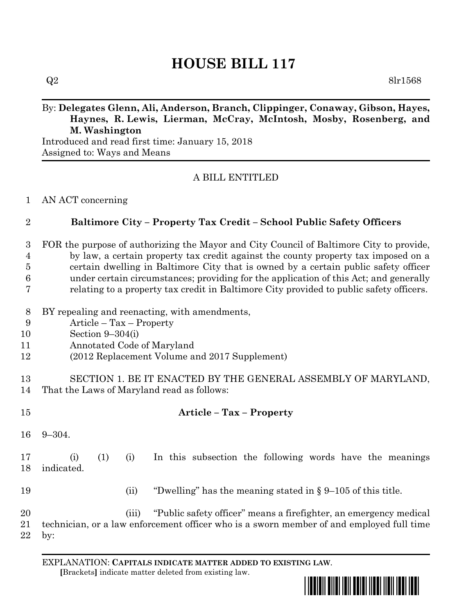# **HOUSE BILL 117**

# By: **Delegates Glenn, Ali, Anderson, Branch, Clippinger, Conaway, Gibson, Hayes, Haynes, R. Lewis, Lierman, McCray, McIntosh, Mosby, Rosenberg, and M. Washington**

Introduced and read first time: January 15, 2018 Assigned to: Ways and Means

## A BILL ENTITLED

#### AN ACT concerning

### **Baltimore City – Property Tax Credit – School Public Safety Officers**

 FOR the purpose of authorizing the Mayor and City Council of Baltimore City to provide, by law, a certain property tax credit against the county property tax imposed on a certain dwelling in Baltimore City that is owned by a certain public safety officer under certain circumstances; providing for the application of this Act; and generally relating to a property tax credit in Baltimore City provided to public safety officers.

- BY repealing and reenacting, with amendments,
- Article Tax Property
- Section 9–304(i)
- Annotated Code of Maryland
- (2012 Replacement Volume and 2017 Supplement)
- SECTION 1. BE IT ENACTED BY THE GENERAL ASSEMBLY OF MARYLAND, That the Laws of Maryland read as follows:
- **Article – Tax – Property**
- 9–304.

# (i) (1) (i) In this subsection the following words have the meanings indicated.

- (ii) "Dwelling" has the meaning stated in § 9–105 of this title.
- (iii) "Public safety officer" means a firefighter, an emergency medical technician, or a law enforcement officer who is a sworn member of and employed full time by:

EXPLANATION: **CAPITALS INDICATE MATTER ADDED TO EXISTING LAW**.  **[**Brackets**]** indicate matter deleted from existing law.

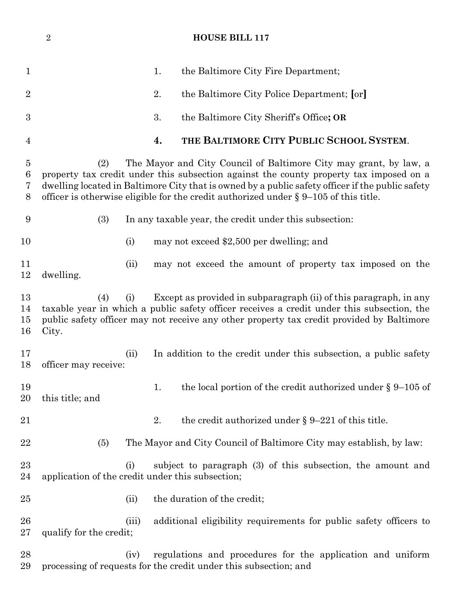# **HOUSE BILL 117**

| 1                          | the Baltimore City Fire Department;<br>1.                                                                                                                                                                                                                                                                                                                         |
|----------------------------|-------------------------------------------------------------------------------------------------------------------------------------------------------------------------------------------------------------------------------------------------------------------------------------------------------------------------------------------------------------------|
| $\overline{2}$             | 2.<br>the Baltimore City Police Department; [or]                                                                                                                                                                                                                                                                                                                  |
| $\boldsymbol{3}$           | 3.<br>the Baltimore City Sheriff's Office; OR                                                                                                                                                                                                                                                                                                                     |
| 4                          | THE BALTIMORE CITY PUBLIC SCHOOL SYSTEM.<br>4.                                                                                                                                                                                                                                                                                                                    |
| $\bf 5$<br>$\,6$<br>7<br>8 | The Mayor and City Council of Baltimore City may grant, by law, a<br>(2)<br>property tax credit under this subsection against the county property tax imposed on a<br>dwelling located in Baltimore City that is owned by a public safety officer if the public safety<br>officer is otherwise eligible for the credit authorized under $\S 9-105$ of this title. |
| 9                          | (3)<br>In any taxable year, the credit under this subsection:                                                                                                                                                                                                                                                                                                     |
| 10                         | (i)<br>may not exceed \$2,500 per dwelling; and                                                                                                                                                                                                                                                                                                                   |
| 11<br>12                   | may not exceed the amount of property tax imposed on the<br>(ii)<br>dwelling.                                                                                                                                                                                                                                                                                     |
| 13<br>14<br>15<br>16       | Except as provided in subparagraph (ii) of this paragraph, in any<br>(4)<br>(i)<br>taxable year in which a public safety officer receives a credit under this subsection, the<br>public safety officer may not receive any other property tax credit provided by Baltimore<br>City.                                                                               |
| 17<br>18                   | In addition to the credit under this subsection, a public safety<br>(ii)<br>officer may receive:                                                                                                                                                                                                                                                                  |
| 19<br>20                   | the local portion of the credit authorized under $\S 9-105$ of<br>1.<br>this title; and                                                                                                                                                                                                                                                                           |
| 21                         | the credit authorized under $\S 9-221$ of this title.<br>2.                                                                                                                                                                                                                                                                                                       |
| 22                         | The Mayor and City Council of Baltimore City may establish, by law:<br>(5)                                                                                                                                                                                                                                                                                        |
| 23<br>24                   | subject to paragraph (3) of this subsection, the amount and<br>(i)<br>application of the credit under this subsection;                                                                                                                                                                                                                                            |
| 25                         | the duration of the credit;<br>(ii)                                                                                                                                                                                                                                                                                                                               |
| 26<br>27                   | additional eligibility requirements for public safety officers to<br>(iii)<br>qualify for the credit;                                                                                                                                                                                                                                                             |
| 28<br>29                   | regulations and procedures for the application and uniform<br>(iv)<br>processing of requests for the credit under this subsection; and                                                                                                                                                                                                                            |